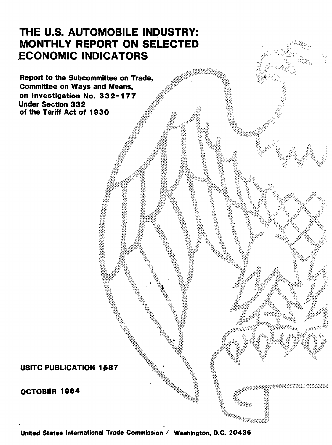# THE U.S. AUTOMOBILE INDUSTRY: MONTHLY REPORT ON SELECTED .ECONOMIC INDICATORS

Report to the Subcommittee on Trade, Committee on Ways and Means, on Investigation No. 332-177 Under Section 3 3 2 of the Tariff Act of 1930

USITC PUBLICATION 1587

OCTOBER 1984

0 United States lntemational Trade Commission I Washington, D.C. 20436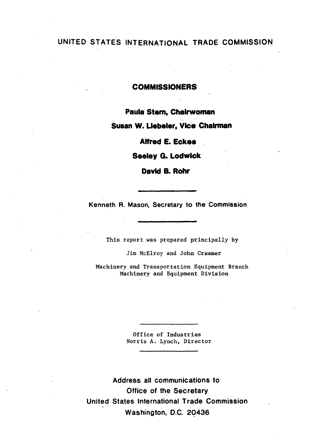## UNITED STATES INTERNATIONAL TRADE COMMISSION

## **COMMISSIONERS**

Paula Stem, Chairwoman

Susan w. Llebeler, Vice Chairman

Alfred E. Eckes

Seeley G. Lodwick

David B. Rohr

Kenneth R. Mason, Secretary to the Commission

This report was prepared principally by

Jim McElroy and John Creamer

Machinery and Transportation Equipment Branch Machinery and Equipment Division

> Office of Industries Norris A. Lynch, Director

Address all communications to Office of the Secretary United States International Trade Commission Washington, D.C. 20436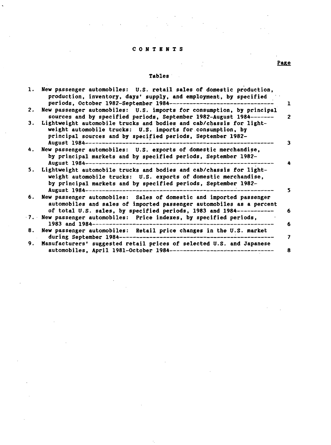#### CONTENTS

 $\overline{ }$ 

### Tables·

 $\frac{1}{2}$ 

 $\ddot{\phantom{a}}$ 

|    | 1. New passenger automobiles: U.S. retail sales of domestic production,             |
|----|-------------------------------------------------------------------------------------|
|    | production, inventory, days' supply, and employment, by specified                   |
|    |                                                                                     |
|    | periods, October 1982-September 1984---------------------<br>1                      |
| 2. | New passenger automobiles: U.S. imports for consumption, by principal               |
|    | sources and by specified periods, September 1982-August 1984-------<br>$\mathbf{2}$ |
| 3. | Lightweight automobile trucks and bodies and cab/chassis for light-                 |
|    | weight automobile trucks: U.S. imports for consumption, by                          |
|    | principal sources and by specified periods, September 1982-                         |
|    | August 1984------<br>3                                                              |
| 4. | New passenger automobiles: U.S. exports of domestic merchandise,                    |
|    | by principal markets and by specified periods, September 1982-                      |
|    | August 1984--------                                                                 |
| 5. | Lightweight automobile trucks and bodies and cab/chassis for light-                 |
|    | weight automobile trucks: U.S. exports of domestic merchandise,                     |
|    | by principal markets and by specified periods, September 1982-                      |
|    | August 1984------------------                                                       |
| 6. | New passenger automobiles: Sales of domestic and imported passenger                 |
|    | automobiles and sales of imported passenger automobiles as a percent                |
|    | of total U.S. sales, by specified periods, 1983 and 1984-----------<br>6            |
|    | 7. New passenger automobiles: Price indexes, by specified periods,                  |
|    | 1983 and $1984$ ---------------<br>6                                                |
| 8. | New passenger automobiles: Retail price changes in the U.S. market                  |
|    |                                                                                     |
|    | during September 1984-----------------------------------<br>7                       |
|    | 9. Manufacturers' suggested retail prices of selected U.S. and Japanese             |
|    | automobiles, April 1981-October 1984---------------------------------<br>8          |

Page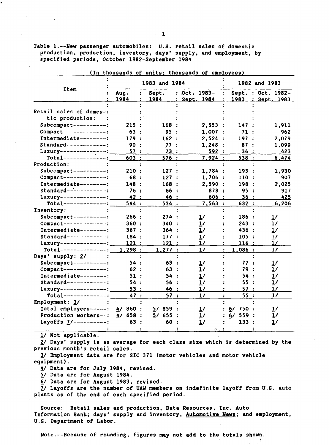Table 1.--New passenger automobiles: U.S. retail sales of domestic production, production, inventory, days' supply, and employment, by specified periods, October 1982-September 1984

| Item                       |                            | 1983 and 1984         |                      | 1982 and 1983        |                      |  |  |
|----------------------------|----------------------------|-----------------------|----------------------|----------------------|----------------------|--|--|
|                            | Aug.<br>$\ddot{\cdot}$     | Sept.                 | $: Oct. 1983-$       | Sept.                | $: Oct. 1982-$       |  |  |
|                            | 1984                       | 1984                  | : Sept. 1984         | 1983                 | : Sept. 1983         |  |  |
|                            |                            |                       |                      |                      |                      |  |  |
| Retail sales of domes-:    |                            |                       |                      |                      |                      |  |  |
| tic production:            |                            |                       |                      |                      |                      |  |  |
| Subcompact----------:      | 215                        | 168 :                 | 2,553:               | 147 :                | 1,911                |  |  |
| $Compare t-----$           | 63                         | 95<br>$\cdot$ :       | 1,007                | $-71$                | 962                  |  |  |
| Intermediate--------:      | 179                        | 162:                  | 2,524                | 197                  | 2,079                |  |  |
| $Standard-----$            | 90<br>$\cdot$              | 77:                   | 1.248:               | 87                   | 1,099                |  |  |
| Luxurv--------------:      | 57:                        | 73                    | 592                  | 36                   | 423                  |  |  |
| $Total-----$               | 603:                       | 576:                  | 7,924:               | 538 :                | 6,474                |  |  |
| Production:                |                            |                       |                      |                      |                      |  |  |
| Subcompact----------:      | <b>210 :</b>               | 127:                  | 1,784:               | 193:                 | 1,930                |  |  |
| $Compare t-----:$          | 68<br>- 11                 | 127 :                 | 1,706:               | 110:                 | 907                  |  |  |
| Intermediate--------:      | 148 :                      | 168:                  | 2,590:               | 198<br>$\mathbf{r}$  | 2,025                |  |  |
| $Standard-----$            | 76<br>$\ddot{\phantom{0}}$ | 66 :                  | 878<br>$\rightarrow$ | 95<br>$\cdot$ :      | 917                  |  |  |
| Luxurv--------------:      | 42 :                       | 46 :                  | 606                  | 36:                  | 425                  |  |  |
| $Total-----------$         | 544 :                      | 534:                  | 7,563:               | 632 :                | 6,206                |  |  |
| Inventory:                 |                            |                       |                      |                      |                      |  |  |
| $Subcompact------:$        | 266 :                      | 274 :                 | <u>1/</u>            | 186 :                | 1/                   |  |  |
| $Compare t$ -------------: | 360 :                      | 340 :                 | 1/                   | 243:                 | $\mathbf{1}$         |  |  |
| Intermediate--------:      | 367:                       | 364:                  | 1/                   | 436 :                | $\frac{1}{\sqrt{2}}$ |  |  |
| $Standard$ ------------:   | 184                        | 177 :                 | $\mathbf{1}$         | 105:                 | $\frac{1}{\sqrt{2}}$ |  |  |
| Luxury--------------:      | 121<br>$\mathbf{L}$        | 121<br>$\ddot{\cdot}$ | 17                   | 116:                 | 1/                   |  |  |
| $Total-----$               | 1.298:                     | 1.277:                | $\frac{1}{2}$        | 1,086:<br>÷          | $\frac{1}{2}$        |  |  |
| Days' supply: 2/           | $\ddot{\cdot}$             |                       |                      |                      |                      |  |  |
| Subcompact----------:      | 54<br>$\ddot{\phantom{1}}$ | 63<br>$\cdot$ :       | 1/                   | 77<br>$\mathbf{r}$   | $\frac{1}{2}$        |  |  |
| $Compare t-----$           | 62:                        | 63:                   | 1/                   | 79<br>$\ddot{\cdot}$ | $\mathbf{1}$         |  |  |
| Intermediate--------:      | 51 :                       | 54 :                  | $\mathbf{1}$         | 54<br>$\ddot{\cdot}$ | $\frac{1}{2}$        |  |  |
| $Standard-----$            | 54 :                       | 56 :                  | $\mathbf{1}$         | 55<br>$\ddot{\cdot}$ | 1/                   |  |  |
| Luxury--------------:      | 53:                        | 46 :                  | 17                   | 57 :                 | 17                   |  |  |
| $Total-----$               | 47 :                       | 57:                   | $\frac{1}{2}$        | 55:                  | 1/                   |  |  |
| Employment: 3/             |                            |                       |                      |                      |                      |  |  |
| Total employees------:     | 860:<br>4/                 | 5/859:                | $\mathbf{1}$         | $6/750$ :            | 1/                   |  |  |
| Production workers--:      | 658 :<br>4/                | $5/655$ :             | 1/                   | 6/559:               | 1/                   |  |  |
| Layoffs $7/------$ :       | 63                         | 60                    | 1/                   | 133                  | $\mathbf{1}$         |  |  |
|                            |                            |                       |                      |                      |                      |  |  |
|                            |                            |                       |                      |                      |                      |  |  |

(In thousands of units; thousands of employees)

 $1/$  Not applicable.

 $2/$  Days' supply is an average for each class size which is determined by the previous month's retail sales.

*i1* Employment data are for SIC 371 (motor vehicles and motor vehicle equipment).

*!I* Data are for July 1984, revised.

*ii* Data are for August 1984.

6/ Data are for August 1983, revised.

1/ Layoffs are the number of UAW members on indefinite layoff from U.S. auto plants as of the end of each specified period.

Source: Retail sales and production, Data Resources, Inc. Auto Information Bank; days' supply and inventory, Automotive News; and employment, U.S. Department of Labor.

÷.

Note.--Because of rounding, figures may not add to the totals shown.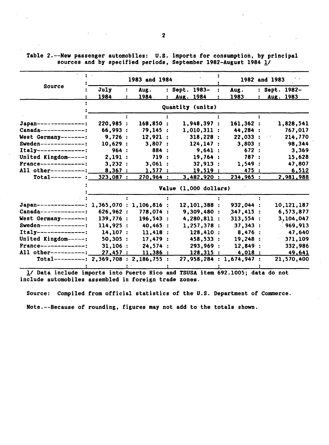Table 2.--Hew passenger automobiles: U.S. imports for consumption, by principal sources and by specified periods, September 1982-August 1984 1/

|                                             |           | 1983 and 1984 |                          | 1982 and 1983 |  |               |  |
|---------------------------------------------|-----------|---------------|--------------------------|---------------|--|---------------|--|
| Source                                      | July      | Aug.          | : Sept. 1983-            | Aug.          |  | : Sept. 1982- |  |
|                                             | 1984      | 1984          | Aug. 1984                | 1983          |  | Aug. 1983     |  |
|                                             |           |               | Quantity (units)         |               |  |               |  |
|                                             |           |               |                          |               |  |               |  |
| Japan---------------:                       | 220,985:  | 168,850 :     | 1,948,397:               | 161,362:      |  | 1,828,541     |  |
| $Canada----------$                          | 66,993:   | 79,145:       | $1,010,311$ :            | 44,284 :      |  | 767,017       |  |
| West Germany-------:                        | 9,726:    | 12,921:       | 318,228:                 | 22,033:       |  | 214,770       |  |
| Sweden--------------:                       | 10,629:   | 3,807:        | 124, 147:                | 3,803:        |  | 98,344        |  |
| $Itally-----$                               | 964:      | 884 :         | 9,641:                   | 672:          |  | 3,369         |  |
| United Kingdom-----:                        | 2,191:    | 719:          | 19,764:                  | 787 :         |  | 15,628        |  |
| France--------------:                       | 3,232:    | 3,061:        | 32,913:                  | 1,549:        |  | 47,807        |  |
| All other----------:                        | 8,367:    | 1,577:        | 19,519:                  | 475 :         |  | 6,512         |  |
| $Total-----$                                | 323,087:  | 270,964:      | 3,482,920:               | 234,965:      |  | 2,981,988     |  |
|                                             |           |               | Value (1,000 dollars)    |               |  |               |  |
|                                             |           |               |                          |               |  |               |  |
| Japan---------------: 1,365,070: 1,106,816: |           |               | 12,101,388 :             | 932,044 :     |  | 10,121,187    |  |
| $Canada----------$                          | 626,962:  | 778,074 :     | 9,309,480 :              | 347,415:      |  | 6,573,877     |  |
| West Germany-------:                        | 139,776 : | 196,543 :     | 4,280,811 :              | 313,554:      |  | 3,104,047     |  |
| Sweden--------------:                       | 114,925:  | 40.465:       | 1.257.378:               | 37,343:       |  | : 969, 913    |  |
| $Itally-----$                               | 14.107:   | 11,418:       | 128,410 :                | 8,476:        |  | 47,640        |  |
| United Kingdom-----:                        | 50,305:   | 17,479:       | 458,533 :                | 19,248 :      |  | 371,109       |  |
| $Frame------------:$                        | 31,106:   | 24,574:       | 293,969 :                | 12,849:       |  | 332,986       |  |
| All other----------:                        | 27,457:   | 11,386:       | 128,315:                 | 4,018:        |  | 49,641        |  |
| Total---------: 2,369,708 : 2,186,755 :     |           |               | 27,958,284 : 1,674,947 : |               |  | 21,570,400    |  |
|                                             |           |               |                          |               |  |               |  |

. !I Data include imports into Puerto Rico and TSUSA item 692.1005; data do not include automobiles assembled in foreign trade zones.

Source: Compiled from official statistics of the U.S. Department of Commerce.

Note.--Because of rounding, figures may not add to the totals shown.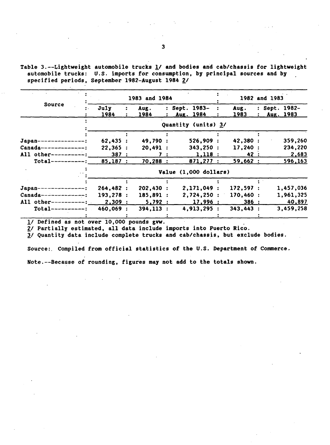Table 3.--Lightweight automobile trucks  $\underline{1}$  and bodies and cab/chassis for lightweight automobile trucks: U.S. imports for consumption, by principal sources and by specified periods, September 1982-August 1984 2/

|                           |           | 1983 and 1984 |              |              |                       |  |          |  | 1982 and 1983 |               |  |  |  |
|---------------------------|-----------|---------------|--------------|--------------|-----------------------|--|----------|--|---------------|---------------|--|--|--|
| Source                    | July      |               | Aug.         |              | : Sept. 1983-         |  | Aug.     |  |               | : Sept. 1982- |  |  |  |
|                           | 1984      |               | 1984         | $\mathbf{z}$ | Aug. 1984             |  | 1983     |  |               | Aug. 1983     |  |  |  |
|                           |           |               |              |              | Quantity (units) 3/   |  |          |  |               |               |  |  |  |
|                           |           |               |              |              |                       |  |          |  |               |               |  |  |  |
| $Japan-----$              | 62,435:   |               | 49,790 :     |              | 526,909:              |  | 42,380 : |  |               | 359,260       |  |  |  |
| $Canada-----$             | 22,365:   |               | 20,491:      |              | 343,250:              |  | 17,240:  |  |               | 234,220       |  |  |  |
| All other----------:      | 387:      |               | 7:           |              | 1,118:                |  | 42 :     |  |               | 2,683         |  |  |  |
| $Total-----$              | 85,187:   |               | 70,288:      |              | 871,277:              |  | 59,662:  |  |               | 596,163       |  |  |  |
|                           |           |               |              |              | Value (1,000 dollars) |  |          |  |               |               |  |  |  |
|                           |           |               |              |              |                       |  |          |  |               |               |  |  |  |
| Japan-<br>--------------{ | 264,482:  |               | 202,430:     |              | 2,171,049:            |  | 172,597: |  |               | 1,457,036     |  |  |  |
| $Canada-----$             | 193,278:  |               | 185,891 :    |              | 2,724,250:            |  | 170,460: |  |               | 1,961,325     |  |  |  |
| All other----------:      | 2,309:    |               | 5,792:       |              | 17,996:               |  | 386:     |  |               | 40,897        |  |  |  |
| $Total-----$              | 460,069 : |               | $394, 113$ : |              | 4,913,295:            |  | 343,443: |  |               | 3,459,258     |  |  |  |
|                           |           |               |              |              |                       |  |          |  |               |               |  |  |  |

 $\frac{1}{2}$  Defined as not over 10,000 pounds gvw.<br> $\frac{2}{3}$  Partially estimated, all data include imports into Puerto Rico.

*i1* Quantity ·data include complete trucks and cab/chassis, but exclude bodies.

Source: Compiled from official statistics of the U.S. Department of Commerce. Note.--Because of rounding, figures may not add to the totals shown.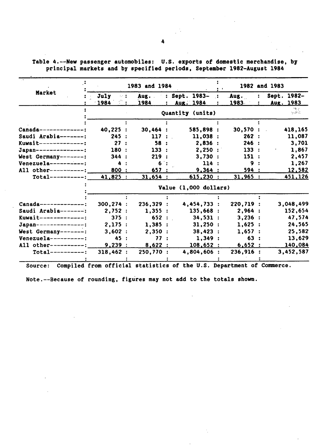|                          |                           | 1983 and 1984 |                              | 1982 and 1983  |                          |  |  |
|--------------------------|---------------------------|---------------|------------------------------|----------------|--------------------------|--|--|
| Market                   | July<br>$\sim$ 1.<br>1984 | Aug.<br>1984  | : Sept. 1983- :<br>Aug. 1984 | . Aug.<br>1983 | Sept. 1982-<br>Aug. 1983 |  |  |
|                          |                           |               | Quantity (units)             |                | inger<br>Se skriv        |  |  |
|                          |                           |               |                              |                |                          |  |  |
| $Canada-----$            | 40,225:                   | 30,464:       | 585,898 :                    | 30,570:        | 418,165<br>$\sim$        |  |  |
| Saudi Arabia-------:     | 245:                      | 117:          | 11,038:                      | 262:           | 11,087                   |  |  |
| Kuwait-------------:     | 27:                       | 58:           | 2,836:                       | 246:           | 3,701                    |  |  |
| Japan---------------:    | 180:                      | 133:          | 2,250:                       | 133:           | 1,867                    |  |  |
| West Germany-------:     | 344:                      | 219:          | 3,730:                       | 151:           | 2,457                    |  |  |
| $Venezue1a---------$     | 4                         | 6 :           | 114:                         | 9              | 1,267                    |  |  |
| All other----------:     | 800 :                     | 657:          | 9,364:                       | 594:           | 12,582                   |  |  |
| $Total-----:$            | 41,825:                   | 31,654:       | 615,230:                     | 31,965:        | 451,126                  |  |  |
|                          |                           |               | Value (1,000 dollars)        |                |                          |  |  |
|                          |                           |               |                              |                |                          |  |  |
| $Canada----------$       | 300, 274:                 | 236,329:      | 4,454,733:                   | 220,719:       | 3,048,499                |  |  |
| Saudi Arabia-------:     | 2,752:                    | 1,355:        | 135,668:                     | 2,964:         | 152,654                  |  |  |
| Kuwait-------------:     | 375:                      | 652:          | 34,531:                      | 3,236:         | 47,574                   |  |  |
| $Japan$ ---------------; | 2,175:                    | 1,385:        | 31,250:                      | 1.625:         | 24,565                   |  |  |
| West Germany-------:     | 3.602:                    | 2.350:        | 38,423:                      | 1.657:         | 25,582                   |  |  |
| $Venezuela--------$ :    | 45 :                      | 77:           | 1,349:                       | 63:            | 13,629                   |  |  |
| All other----------:     | 9,239:                    | 8,622:        | 108,652 :                    | 6,652:         | 140,084                  |  |  |
| $Total-----$             | 318,462:                  | 250,770:      | 4,804,606 :                  | 236,916:       | 3,452,587                |  |  |
|                          |                           |               |                              |                |                          |  |  |

Table 4.--New passenger automobiles: U.S. exports of domestic merchandise, by principal markets and by specified periods, September 1982-August 1984

Source: Compiled from official statistics of the U.S. Department of Commerce.

Note.--Because of rounding, figures may not add to the totals shown.

 $\mathbf{r}$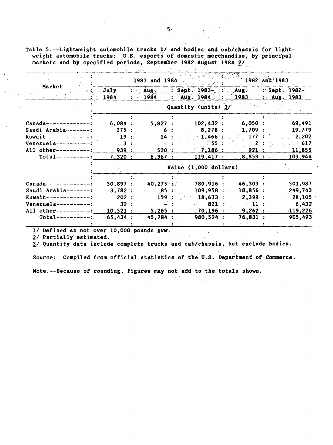Table 5.--Lightweight automobile trucks  $\underline{1}$  and bodies and cab/chassis for lightweight automobile trucks: U.S. exports of domestic merchandise, by principal markets and by specified periods, September 1982-August 1984  $2/$ 

|                          |              | 1983 and 1984 |                                  | 1982 and 1983 |                                                  |  |  |  |
|--------------------------|--------------|---------------|----------------------------------|---------------|--------------------------------------------------|--|--|--|
| Market                   | July<br>1984 | Aux.<br>1984  | : Sept. $1983-$<br>: $Aug. 1984$ | Aug.          | $\therefore$ Sept. 1982-<br>$1983$ : Aug. $1983$ |  |  |  |
|                          |              |               | Quantity (units) 3/              |               |                                                  |  |  |  |
|                          |              |               |                                  |               |                                                  |  |  |  |
| $Canada-----$            | 6,084:       | 5,827:        | 102,432:                         | 6,050:        | 69,491                                           |  |  |  |
| Saudi Arabia-------:     | $-275$ :     | 6.            | 8,278:                           | 1,709:        | 19,779                                           |  |  |  |
| Kuwait-------------:     | 19:          | 14:           | $-1,466$ :                       | 177:          | 2,202                                            |  |  |  |
| $Venezuela---------$ :   | 3            |               | - 55 ⊑                           |               | $-617$                                           |  |  |  |
| All other----------:     | 939 :        | 520:          | 7,186:                           | 921:          | 11,855                                           |  |  |  |
| $Total-----$             | 7,320:       | 6,367:        | 119,417:                         | 8,859:        | 103,944                                          |  |  |  |
|                          |              |               | Value (1,000 dollars)            |               |                                                  |  |  |  |
|                          |              |               |                                  |               |                                                  |  |  |  |
| $Canada-----------$      | 50,897:      | $40,275$ :    | 780,916 :                        | 46,303:       | 501,987                                          |  |  |  |
| Saudi Arabia-------:     | 3,782:       | 85:           | 109,958:                         | 18,856:       | 249,743                                          |  |  |  |
| $Kuwa$ it -------------: | 202:         | 159:          | $-18,633$ :                      | 2,399:        | 28,105                                           |  |  |  |
| $Venezuela---------$ :   | 32:          |               | 821:                             | 11            | 6,432                                            |  |  |  |
| All other----------:     | 10,521:      | 5,265:        | 70,196:                          | 9,262:        | 119,226                                          |  |  |  |
| $Total-----$             | 65,434:      | 45,784        | 980,524 :                        | 76,831        | 905,493                                          |  |  |  |
|                          |              |               |                                  |               |                                                  |  |  |  |

1/ Defined as not over 10,000 pounds gvw.

2/ Partially estimated.

3/ Quantity data include complete trucks and cab/chassis, but exclude bodies.

Source: Compiled from official statistics of the U.S. Department of Commerce.

Note.--Because of rounding, figures may not add to the totals shown.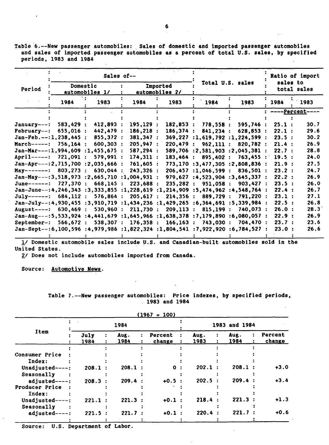Table 6.--New passenger automobiles: Sales of domestic and imported passenger automobiles and sales of imported passenger automobiles as a percent of total U.S. sales, by specified and sales of impression of the periods, 1983 and 1984  $\mathcal{L}^{\text{max}}_{\text{max}}$  and  $\mathcal{L}^{\text{max}}_{\text{max}}$  $\sim 10^{-1}$  .

|                                                                                |           |                            | Sales of--          |                            |                          |                                   | Ratio of import |                         |  |  |
|--------------------------------------------------------------------------------|-----------|----------------------------|---------------------|----------------------------|--------------------------|-----------------------------------|-----------------|-------------------------|--|--|
| Period                                                                         |           | Domestic<br>automobiles 1/ |                     | Imported<br>automobiles 2/ |                          | Total U.S. sales                  |                 | sales to<br>total sales |  |  |
|                                                                                | 1984      | 1983                       | 1984                | 1983                       | 1984                     | 1983                              | 1984            | 1983                    |  |  |
|                                                                                |           |                            |                     |                            |                          |                                   |                 | <u>-Percent</u> -       |  |  |
| $January---:$                                                                  | 583,429 : | 412,893 :                  | 195, 129:           | 182,853:                   | 778,558:                 | 595,746 :                         | 25.1:           | 30.7                    |  |  |
| $February--:$                                                                  | 655.016:  | 442,479:                   | 186, 218:           | 186,374:                   | 841,234:                 | 628,853:                          | 22.1:           | 29.6                    |  |  |
| $Jan-Feb. --: 1, 238, 445:$                                                    |           | 855,372:                   | 381,347:            |                            |                          | $369,227$ :1,619,792 :1,224,599 : | 23.5:           | 30.2                    |  |  |
| $March---$                                                                     | 756, 164: | 600,303:                   | 205,947:            | 220,479                    | 962,111:<br>$\mathbf{r}$ | 820.782:                          | 21.4:           | 26.9                    |  |  |
| $Jan-Mar---:1,994,609:1,455,675:$                                              |           |                            | 587,294 :           |                            |                          | 589,706 :2,581,903 :2,045,381 :   | 22.7:           | 28.8                    |  |  |
| April-----: 721,091 :                                                          |           | 579,991:                   | 174,311:            | 183,464:                   | 895,402 :                | 763,455:                          | 19.5:           | 24.0                    |  |  |
| $Jan-Apr---:2,715,700 ::2,035,666 :$                                           |           |                            | 761,605 :           |                            |                          | 773,170 :3,477,305 :2,808,836 :   | 21.9:           | 27.5                    |  |  |
| May-------: $803.273$ :                                                        |           | 630.044                    | 243,326:            |                            | 206,457:1,046,599:       | 836,501:                          | 23.2:           | 24.7                    |  |  |
| Jan-May---: 3, 518, 973 : 2, 665, 710 : 1, 004, 931 :                          |           |                            |                     |                            |                          | 979,627 :4,523,904 :3,645,337 :   | 22.2:           | 26.9                    |  |  |
| June------: 727.370: 668.145:                                                  |           |                            | 223.688:            |                            | 235.282 : 951.058 :      | 903.427:                          | 23.5:           | 26.0                    |  |  |
| $Jan-June--:4,246,343-.3,333,855-.1,228,619-.1,214,909-.5,474,962-.4,548,764.$ |           |                            |                     |                            |                          |                                   | 22.4:           | 26.7                    |  |  |
| $July-----: 684, 112:$                                                         |           | 576,864:                   | 205,617:            | 214.356:                   | 889,729 :                | . 791.220 :                       | 23.1:           | 27.1                    |  |  |
| Jan-July--:4,930,455 :3,910,719 :1,434,236 :1,429,265 :6,364,691 :5,339,984 :  |           |                            |                     |                            |                          |                                   | 22.5:           | 26.8                    |  |  |
| August----: $630.469$ :                                                        |           | $530,960$ :                | 211,730:            | 209.113 :                  | 815.199:                 | 740.073:                          | 26.0:           | 28.3                    |  |  |
| $Jan-Aug---:5,533,924:4,441,679:1,645,966:1,638,378:7,179,890:6,080,057:$      |           |                            |                     |                            |                          |                                   | 22.9:           | 26.9                    |  |  |
| September-:                                                                    | 566,672:  |                            | 538,307 : 176,358 : | 166, 163:                  | 743,030:                 | 704.470 :                         | 23.7:           | 23.6                    |  |  |
| Jan-Sept--:6,100,596:4,979,986:1,822,324:1,804,541:7,922,920:6,784,527:        |           |                            |                     |                            |                          |                                   | 23.0:           | 26.6                    |  |  |
|                                                                                |           |                            |                     |                            |                          |                                   |                 |                         |  |  |

!/ Domestic automobile sales include U.S. and Canadian-built automobiles sold in the United States.

*£1* Does not include automobiles imported from Canada.

Source: Automotive News.

Table 7.--New passenger automobiles: Price indexes, by specified periods, 1983 and 1984

| (1967) | 100) |  |
|--------|------|--|
|        |      |  |

|                 |              | 1984 |              |  |                   |  |              | 1983 and 1984 |              |                   |  |  |  |
|-----------------|--------------|------|--------------|--|-------------------|--|--------------|---------------|--------------|-------------------|--|--|--|
| <b>Item</b>     | July<br>1984 |      | Aug.<br>1984 |  | Percent<br>change |  | Aug.<br>1983 |               | Aug.<br>1984 | Percent<br>change |  |  |  |
|                 |              |      |              |  |                   |  |              |               |              |                   |  |  |  |
| Consumer Price  |              |      |              |  |                   |  |              |               |              |                   |  |  |  |
| Index:          |              |      |              |  |                   |  |              |               |              |                   |  |  |  |
| Unadjusted----: | 208.1        |      | $208.1$ :    |  | n                 |  | 202.1        |               | 208.1        | $+3.0$            |  |  |  |
| Seasonally      |              |      |              |  |                   |  |              |               |              |                   |  |  |  |
| adjusted----:   | $208.3$ :    |      | 209.4:       |  | $+0.5$ :          |  | 202.5        |               | 209.4        | $+3.4$            |  |  |  |
| Producer Price  |              |      |              |  |                   |  |              |               |              |                   |  |  |  |
| Index:          |              |      |              |  |                   |  |              |               |              |                   |  |  |  |
| Unadjusted-     | 221.1        |      | 221.3        |  | $+0.1$ :          |  | 218.4        |               | 221.3        | $+1.3$            |  |  |  |
| Seasonally      |              |      |              |  |                   |  |              |               |              |                   |  |  |  |
| adjusted----:   | 221.5:       |      | 221.7        |  | $+0.1$            |  | 220.4        |               | 221.7        | $+0.6$            |  |  |  |
|                 |              |      |              |  |                   |  |              |               |              |                   |  |  |  |

Source: U.S. Department of Labor.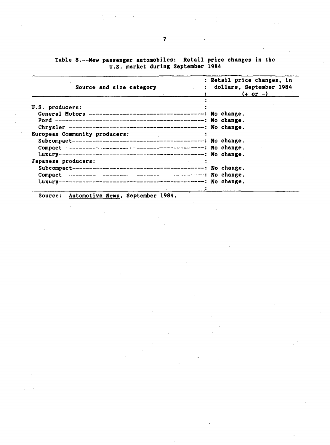|  | Table 8.--New passenger automobiles: Retail price changes in the |  |  |  |
|--|------------------------------------------------------------------|--|--|--|
|  | U.S. market during September 1984                                |  |  |  |

| Source and size category                                                                                       | : Retail price changes, in<br>: dollars, September 1984<br>$(+ or -)$ |
|----------------------------------------------------------------------------------------------------------------|-----------------------------------------------------------------------|
| U.S. producers:                                                                                                |                                                                       |
|                                                                                                                |                                                                       |
|                                                                                                                |                                                                       |
|                                                                                                                |                                                                       |
| European Community producers:                                                                                  |                                                                       |
|                                                                                                                |                                                                       |
|                                                                                                                |                                                                       |
|                                                                                                                |                                                                       |
| Japanese producers:                                                                                            |                                                                       |
|                                                                                                                |                                                                       |
|                                                                                                                |                                                                       |
|                                                                                                                |                                                                       |
| 1000 - San Antonio Antonio Antonio Antonio Antonio Antonio Antonio Antonio Antonio Antonio Antonio Antonio Ant |                                                                       |

 $\ddot{\phantom{a}}$ 

Source: Automotive News, September 1984.

 $\mathcal{L}_{\text{eff}}$